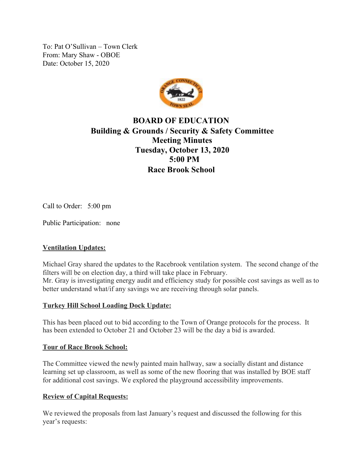To: Pat O'Sullivan – Town Clerk From: Mary Shaw - OBOE Date: October 15, 2020



# **BOARD OF EDUCATION Building & Grounds / Security & Safety Committee Meeting Minutes Tuesday, October 13, 2020 5:00 PM Race Brook School**

Call to Order: 5:00 pm

Public Participation: none

### **Ventilation Updates:**

Michael Gray shared the updates to the Racebrook ventilation system. The second change of the filters will be on election day, a third will take place in February. Mr. Gray is investigating energy audit and efficiency study for possible cost savings as well as to better understand what/if any savings we are receiving through solar panels.

#### **Turkey Hill School Loading Dock Update:**

This has been placed out to bid according to the Town of Orange protocols for the process. It has been extended to October 21 and October 23 will be the day a bid is awarded.

#### **Tour of Race Brook School:**

The Committee viewed the newly painted main hallway, saw a socially distant and distance learning set up classroom, as well as some of the new flooring that was installed by BOE staff for additional cost savings. We explored the playground accessibility improvements.

#### **Review of Capital Requests:**

We reviewed the proposals from last January's request and discussed the following for this year's requests: